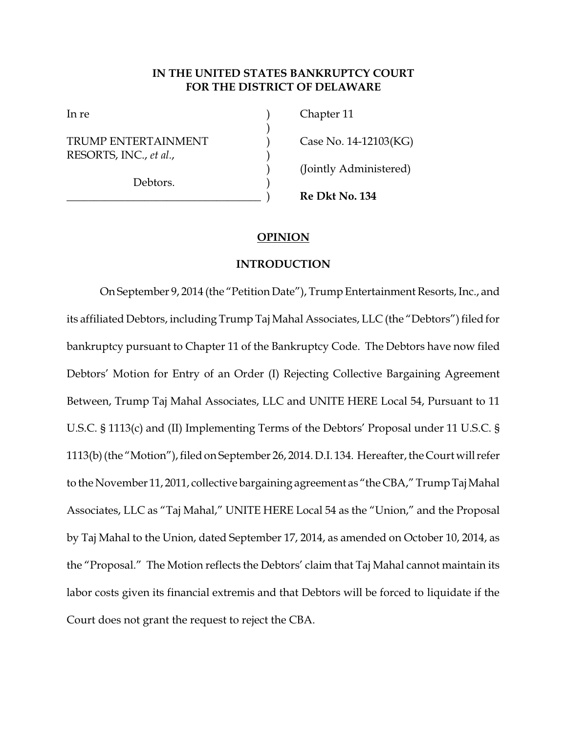# **IN THE UNITED STATES BANKRUPTCY COURT FOR THE DISTRICT OF DELAWARE**

)

TRUMP ENTERTAINMENT ) Case No. 14-12103(KG) RESORTS, INC., *et al.*, )

Debtors.

In re (a) Chapter 11 ) (Jointly Administered)

\_\_\_\_\_\_\_\_\_\_\_\_\_\_\_\_\_\_\_\_\_\_\_\_\_\_\_\_\_\_\_\_\_\_\_ ) **Re Dkt No. 134**

# **OPINION**

# **INTRODUCTION**

On September 9, 2014 (the "Petition Date"), Trump Entertainment Resorts, Inc., and its affiliated Debtors, including Trump Taj Mahal Associates, LLC (the "Debtors") filed for bankruptcy pursuant to Chapter 11 of the Bankruptcy Code. The Debtors have now filed Debtors' Motion for Entry of an Order (I) Rejecting Collective Bargaining Agreement Between, Trump Taj Mahal Associates, LLC and UNITE HERE Local 54, Pursuant to 11 U.S.C. § 1113(c) and (II) Implementing Terms of the Debtors' Proposal under 11 U.S.C. § 1113(b) (the "Motion"), filed on September 26, 2014. D.I. 134. Hereafter, the Court will refer to the November 11, 2011, collective bargaining agreement as "the CBA," Trump Taj Mahal Associates, LLC as "Taj Mahal," UNITE HERE Local 54 as the "Union," and the Proposal by Taj Mahal to the Union, dated September 17, 2014, as amended on October 10, 2014, as the "Proposal." The Motion reflects the Debtors' claim that Taj Mahal cannot maintain its labor costs given its financial extremis and that Debtors will be forced to liquidate if the Court does not grant the request to reject the CBA.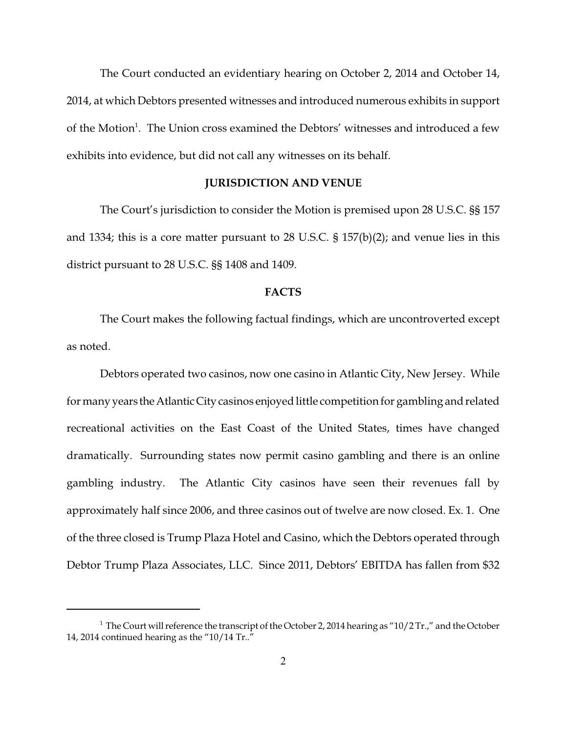The Court conducted an evidentiary hearing on October 2, 2014 and October 14, 2014, at which Debtors presented witnesses and introduced numerous exhibits in support of the Motion<sup>1</sup>. The Union cross examined the Debtors' witnesses and introduced a few exhibits into evidence, but did not call any witnesses on its behalf.

#### **JURISDICTION AND VENUE**

The Court's jurisdiction to consider the Motion is premised upon 28 U.S.C. §§ 157 and 1334; this is a core matter pursuant to 28 U.S.C.  $\S$  157(b)(2); and venue lies in this district pursuant to 28 U.S.C. §§ 1408 and 1409.

#### **FACTS**

The Court makes the following factual findings, which are uncontroverted except as noted.

Debtors operated two casinos, now one casino in Atlantic City, New Jersey. While for many years theAtlanticCity casinos enjoyed little competition for gambling and related recreational activities on the East Coast of the United States, times have changed dramatically. Surrounding states now permit casino gambling and there is an online gambling industry. The Atlantic City casinos have seen their revenues fall by approximately half since 2006, and three casinos out of twelve are now closed. Ex. 1. One of the three closed is Trump Plaza Hotel and Casino, which the Debtors operated through Debtor Trump Plaza Associates, LLC. Since 2011, Debtors' EBITDA has fallen from \$32

<sup>&</sup>lt;sup>1</sup> The Court will reference the transcript of the October 2, 2014 hearing as "10/2 Tr.," and the October 14, 2014 continued hearing as the " $10/14$  Tr.."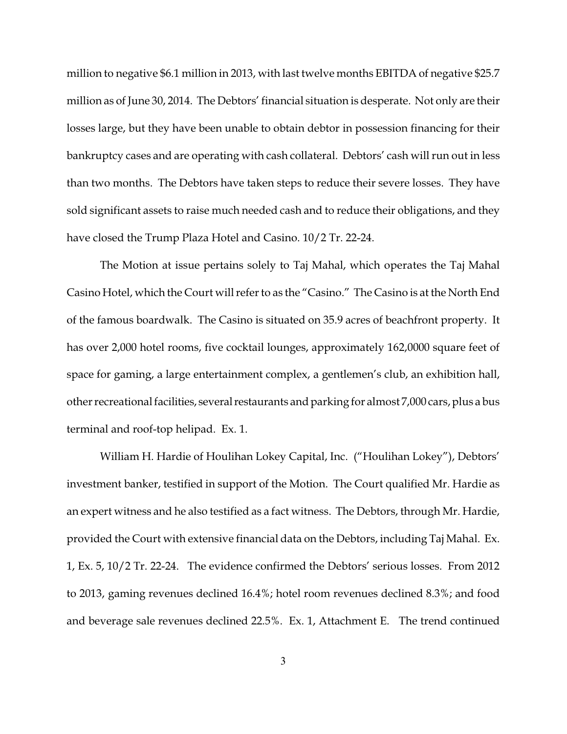million to negative \$6.1 million in 2013, with last twelve months EBITDA of negative \$25.7 million as of June 30, 2014. The Debtors' financial situation is desperate. Not only are their losses large, but they have been unable to obtain debtor in possession financing for their bankruptcy cases and are operating with cash collateral. Debtors' cash will run out in less than two months. The Debtors have taken steps to reduce their severe losses. They have sold significant assets to raise much needed cash and to reduce their obligations, and they have closed the Trump Plaza Hotel and Casino. 10/2 Tr. 22-24.

The Motion at issue pertains solely to Taj Mahal, which operates the Taj Mahal Casino Hotel, which the Court will referto as the "Casino." The Casino is at the North End of the famous boardwalk. The Casino is situated on 35.9 acres of beachfront property. It has over 2,000 hotel rooms, five cocktail lounges, approximately 162,0000 square feet of space for gaming, a large entertainment complex, a gentlemen's club, an exhibition hall, other recreational facilities, several restaurants and parking for almost 7,000 cars, plus a bus terminal and roof-top helipad. Ex. 1.

William H. Hardie of Houlihan Lokey Capital, Inc. ("Houlihan Lokey"), Debtors' investment banker, testified in support of the Motion. The Court qualified Mr. Hardie as an expert witness and he also testified as a fact witness. The Debtors, through Mr. Hardie, provided the Court with extensive financial data on the Debtors, including Taj Mahal. Ex. 1, Ex. 5, 10/2 Tr. 22-24. The evidence confirmed the Debtors' serious losses. From 2012 to 2013, gaming revenues declined 16.4%; hotel room revenues declined 8.3%; and food and beverage sale revenues declined 22.5%. Ex. 1, Attachment E. The trend continued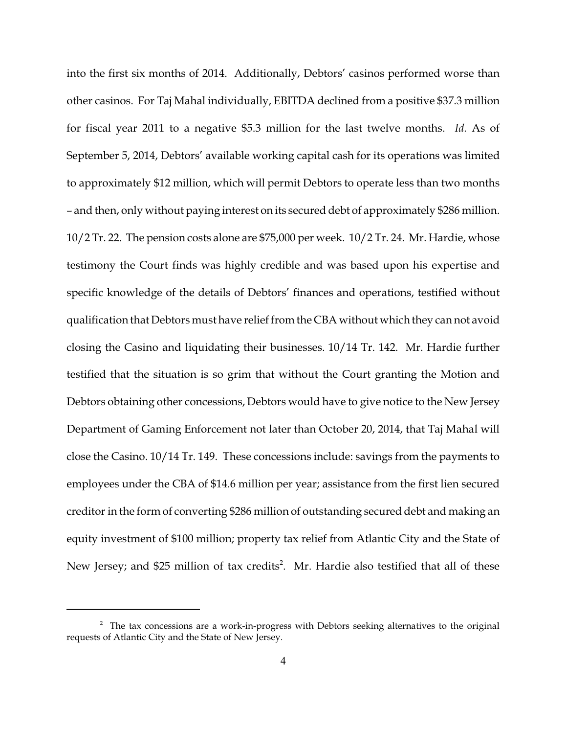into the first six months of 2014. Additionally, Debtors' casinos performed worse than other casinos. For Taj Mahal individually, EBITDA declined from a positive \$37.3 million for fiscal year 2011 to a negative \$5.3 million for the last twelve months. *Id.* As of September 5, 2014, Debtors' available working capital cash for its operations was limited to approximately \$12 million, which will permit Debtors to operate less than two months – and then, only without paying interest on its secured debt of approximately \$286 million. 10/2 Tr. 22. The pension costs alone are \$75,000 per week. 10/2 Tr. 24. Mr. Hardie, whose testimony the Court finds was highly credible and was based upon his expertise and specific knowledge of the details of Debtors' finances and operations, testified without qualification that Debtors must have relief from the CBA without which they can not avoid closing the Casino and liquidating their businesses. 10/14 Tr. 142. Mr. Hardie further testified that the situation is so grim that without the Court granting the Motion and Debtors obtaining other concessions, Debtors would have to give notice to the New Jersey Department of Gaming Enforcement not later than October 20, 2014, that Taj Mahal will close the Casino. 10/14 Tr. 149. These concessions include: savings from the payments to employees under the CBA of \$14.6 million per year; assistance from the first lien secured creditor in the form of converting \$286 million of outstanding secured debt and making an equity investment of \$100 million; property tax relief from Atlantic City and the State of New Jersey; and \$25 million of tax credits<sup>2</sup>. Mr. Hardie also testified that all of these

<sup>&</sup>lt;sup>2</sup> The tax concessions are a work-in-progress with Debtors seeking alternatives to the original requests of Atlantic City and the State of New Jersey.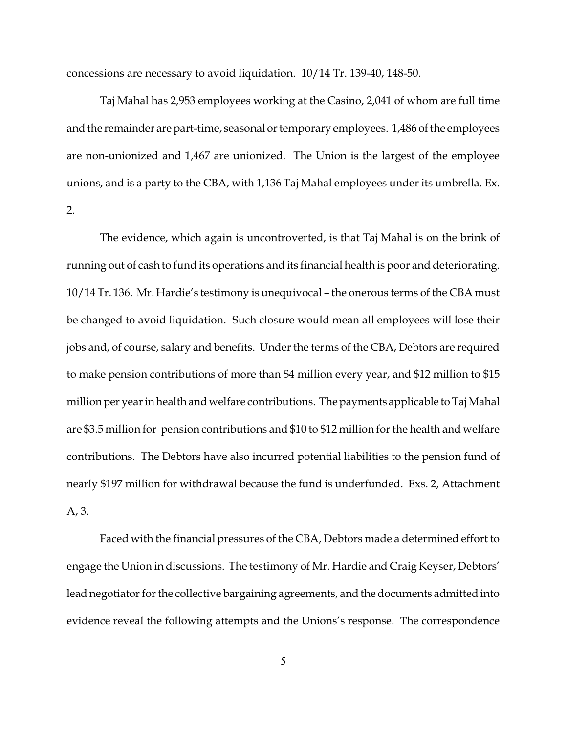concessions are necessary to avoid liquidation. 10/14 Tr. 139-40, 148-50.

Taj Mahal has 2,953 employees working at the Casino, 2,041 of whom are full time and the remainder are part-time, seasonal or temporary employees. 1,486 of the employees are non-unionized and 1,467 are unionized. The Union is the largest of the employee unions, and is a party to the CBA, with 1,136 Taj Mahal employees under its umbrella. Ex. 2.

The evidence, which again is uncontroverted, is that Taj Mahal is on the brink of running out of cash to fund its operations and its financial health is poor and deteriorating. 10/14 Tr. 136. Mr. Hardie's testimony is unequivocal – the onerous terms of the CBA must be changed to avoid liquidation. Such closure would mean all employees will lose their jobs and, of course, salary and benefits. Under the terms of the CBA, Debtors are required to make pension contributions of more than \$4 million every year, and \$12 million to \$15 million per yearin health and welfare contributions. The payments applicable to Taj Mahal are \$3.5 million for pension contributions and \$10 to \$12 million forthe health and welfare contributions. The Debtors have also incurred potential liabilities to the pension fund of nearly \$197 million for withdrawal because the fund is underfunded. Exs. 2, Attachment A, 3.

Faced with the financial pressures of the CBA, Debtors made a determined effort to engage the Union in discussions. The testimony of Mr. Hardie and Craig Keyser, Debtors' lead negotiator for the collective bargaining agreements, and the documents admitted into evidence reveal the following attempts and the Unions's response. The correspondence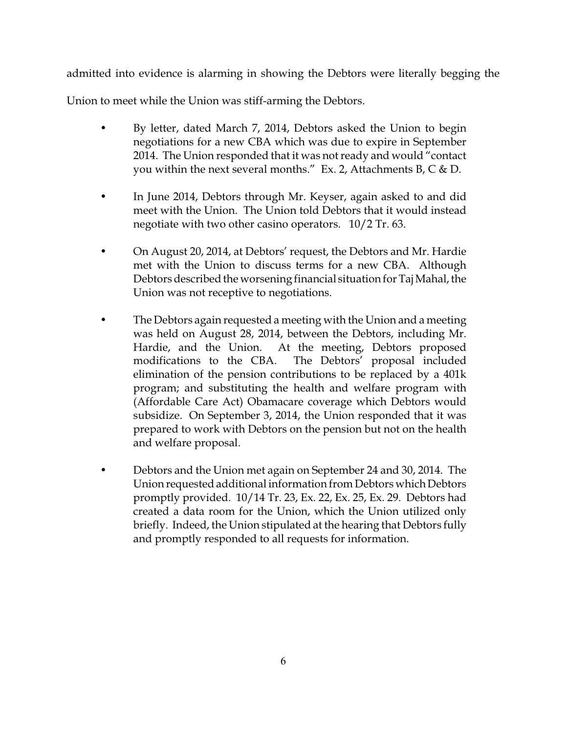admitted into evidence is alarming in showing the Debtors were literally begging the

Union to meet while the Union was stiff-arming the Debtors.

- By letter, dated March 7, 2014, Debtors asked the Union to begin negotiations for a new CBA which was due to expire in September 2014. The Union responded that it was not ready and would "contact you within the next several months." Ex. 2, Attachments B,  $C & D$ .
- In June 2014, Debtors through Mr. Keyser, again asked to and did meet with the Union. The Union told Debtors that it would instead negotiate with two other casino operators. 10/2 Tr. 63.
- On August 20, 2014, at Debtors' request, the Debtors and Mr. Hardie met with the Union to discuss terms for a new CBA. Although Debtors described the worsening financial situation for Taj Mahal, the Union was not receptive to negotiations.
- The Debtors again requested a meeting with the Union and a meeting was held on August 28, 2014, between the Debtors, including Mr. Hardie, and the Union. At the meeting, Debtors proposed modifications to the CBA. The Debtors' proposal included elimination of the pension contributions to be replaced by a 401k program; and substituting the health and welfare program with (Affordable Care Act) Obamacare coverage which Debtors would subsidize. On September 3, 2014, the Union responded that it was prepared to work with Debtors on the pension but not on the health and welfare proposal.
- Debtors and the Union met again on September 24 and 30, 2014. The Union requested additional information from Debtors which Debtors promptly provided. 10/14 Tr. 23, Ex. 22, Ex. 25, Ex. 29. Debtors had created a data room for the Union, which the Union utilized only briefly. Indeed, the Union stipulated at the hearing that Debtors fully and promptly responded to all requests for information.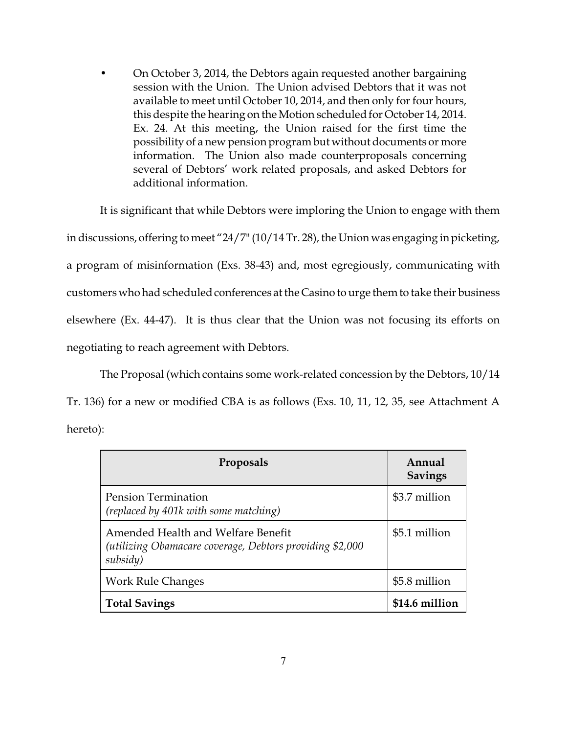• On October 3, 2014, the Debtors again requested another bargaining session with the Union. The Union advised Debtors that it was not available to meet until October 10, 2014, and then only for four hours, this despite the hearing on the Motion scheduled for October 14, 2014. Ex. 24. At this meeting, the Union raised for the first time the possibility of a new pension program but without documents or more information. The Union also made counterproposals concerning several of Debtors' work related proposals, and asked Debtors for additional information.

It is significant that while Debtors were imploring the Union to engage with them in discussions, offering to meet "24/7" (10/14 Tr. 28), the Union was engaging in picketing, a program of misinformation (Exs. 38-43) and, most egregiously, communicating with customers who had scheduled conferences at the Casino to urge them to take their business elsewhere (Ex. 44-47). It is thus clear that the Union was not focusing its efforts on negotiating to reach agreement with Debtors.

The Proposal (which contains some work-related concession by the Debtors, 10/14

Tr. 136) for a new or modified CBA is as follows (Exs. 10, 11, 12, 35, see Attachment A hereto):

| Proposals                                                                                                   | Annual<br><b>Savings</b> |
|-------------------------------------------------------------------------------------------------------------|--------------------------|
| <b>Pension Termination</b><br>(replaced by 401k with some matching)                                         | \$3.7 million            |
| Amended Health and Welfare Benefit<br>(utilizing Obamacare coverage, Debtors providing \$2,000)<br>subsidy) | \$5.1 million            |
| <b>Work Rule Changes</b>                                                                                    | \$5.8 million            |
| <b>Total Savings</b>                                                                                        | \$14.6 million           |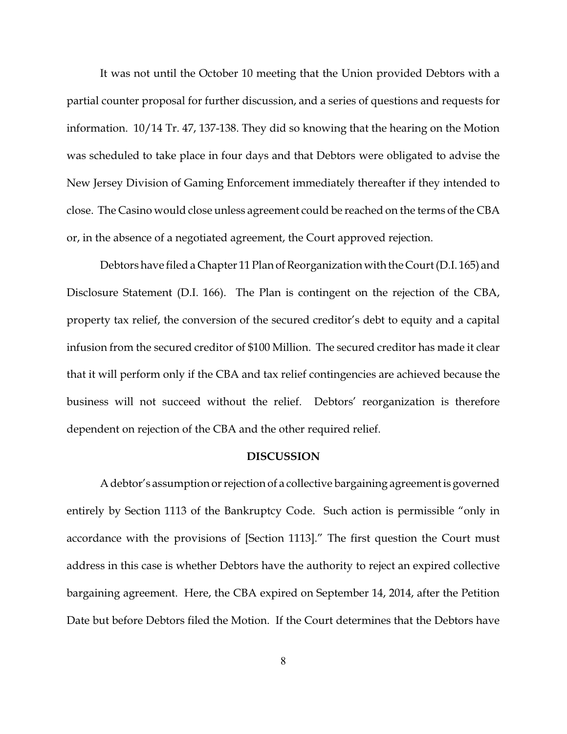It was not until the October 10 meeting that the Union provided Debtors with a partial counter proposal for further discussion, and a series of questions and requests for information. 10/14 Tr. 47, 137-138. They did so knowing that the hearing on the Motion was scheduled to take place in four days and that Debtors were obligated to advise the New Jersey Division of Gaming Enforcement immediately thereafter if they intended to close. The Casino would close unless agreement could be reached on the terms of the CBA or, in the absence of a negotiated agreement, the Court approved rejection.

Debtors have filed a Chapter 11 Plan of Reorganization with the Court (D.I. 165) and Disclosure Statement (D.I. 166). The Plan is contingent on the rejection of the CBA, property tax relief, the conversion of the secured creditor's debt to equity and a capital infusion from the secured creditor of \$100 Million. The secured creditor has made it clear that it will perform only if the CBA and tax relief contingencies are achieved because the business will not succeed without the relief. Debtors' reorganization is therefore dependent on rejection of the CBA and the other required relief.

#### **DISCUSSION**

A debtor's assumption or rejection of a collective bargaining agreement is governed entirely by Section 1113 of the Bankruptcy Code. Such action is permissible "only in accordance with the provisions of [Section 1113]." The first question the Court must address in this case is whether Debtors have the authority to reject an expired collective bargaining agreement. Here, the CBA expired on September 14, 2014, after the Petition Date but before Debtors filed the Motion. If the Court determines that the Debtors have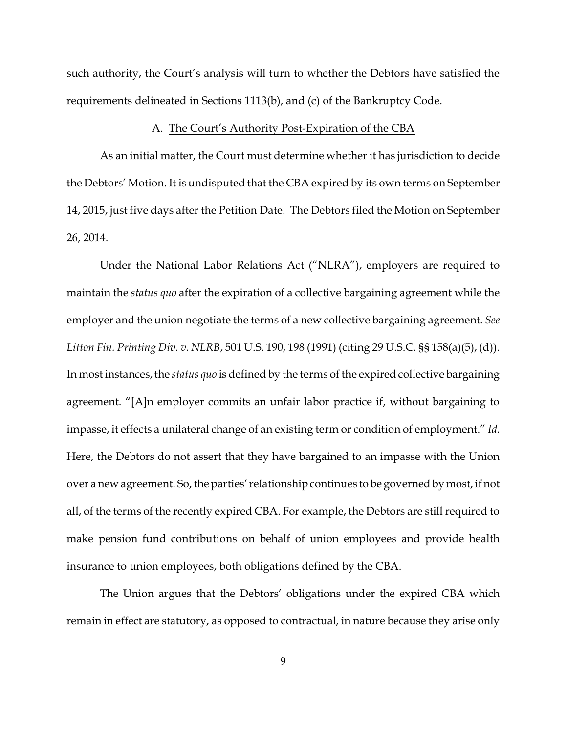such authority, the Court's analysis will turn to whether the Debtors have satisfied the requirements delineated in Sections 1113(b), and (c) of the Bankruptcy Code.

#### A. The Court's Authority Post-Expiration of the CBA

As an initial matter, the Court must determine whether it has jurisdiction to decide the Debtors' Motion. It is undisputed that the CBA expired by its own terms on September 14, 2015, just five days after the Petition Date. The Debtors filed the Motion on September 26, 2014.

Under the National Labor Relations Act ("NLRA"), employers are required to maintain the *status quo* after the expiration of a collective bargaining agreement while the employer and the union negotiate the terms of a new collective bargaining agreement. *See Litton Fin. Printing Div. v. NLRB*, 501 U.S. 190, 198 (1991) (citing 29 U.S.C. §§ 158(a)(5), (d)). In most instances, the *status quo* is defined by the terms of the expired collective bargaining agreement. "[A]n employer commits an unfair labor practice if, without bargaining to impasse, it effects a unilateral change of an existing term or condition of employment." *Id.* Here, the Debtors do not assert that they have bargained to an impasse with the Union over a new agreement. So, the parties' relationship continues to be governed by most, if not all, of the terms of the recently expired CBA. For example, the Debtors are still required to make pension fund contributions on behalf of union employees and provide health insurance to union employees, both obligations defined by the CBA.

The Union argues that the Debtors' obligations under the expired CBA which remain in effect are statutory, as opposed to contractual, in nature because they arise only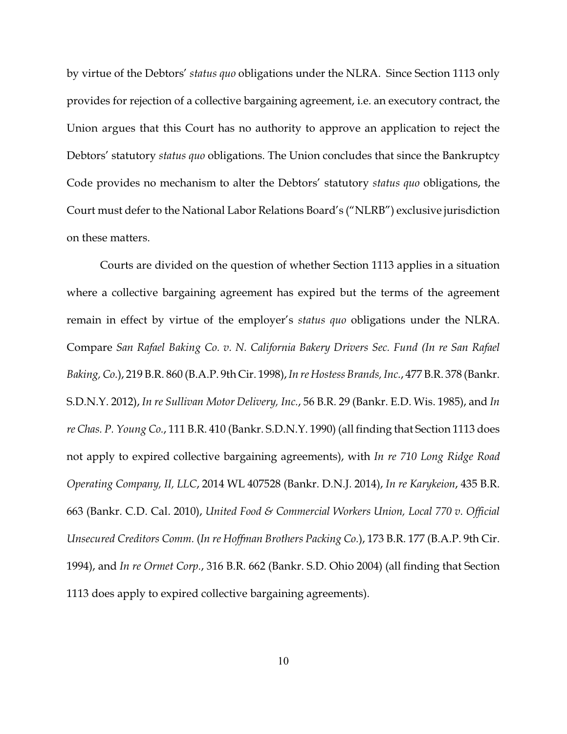by virtue of the Debtors' *status quo* obligations under the NLRA. Since Section 1113 only provides for rejection of a collective bargaining agreement, i.e. an executory contract, the Union argues that this Court has no authority to approve an application to reject the Debtors' statutory *status quo* obligations. The Union concludes that since the Bankruptcy Code provides no mechanism to alter the Debtors' statutory *status quo* obligations, the Court must defer to the National Labor Relations Board's ("NLRB") exclusive jurisdiction on these matters.

Courts are divided on the question of whether Section 1113 applies in a situation where a collective bargaining agreement has expired but the terms of the agreement remain in effect by virtue of the employer's *status quo* obligations under the NLRA. Compare *San Rafael Baking Co. v. N. California Bakery Drivers Sec. Fund (In re San Rafael Baking, Co.*), 219 B.R. 860 (B.A.P. 9th Cir. 1998),*In re Hostess Brands, Inc.*, 477 B.R. 378 (Bankr. S.D.N.Y. 2012), *In re Sullivan Motor Delivery, Inc.*, 56 B.R. 29 (Bankr. E.D. Wis. 1985), and *In re Chas. P. Young Co.*, 111 B.R. 410 (Bankr. S.D.N.Y. 1990) (all finding that Section 1113 does not apply to expired collective bargaining agreements), with *In re 710 Long Ridge Road Operating Company, II, LLC*, 2014 WL 407528 (Bankr. D.N.J. 2014), *In re Karykeion*, 435 B.R. 663 (Bankr. C.D. Cal. 2010), *United Food & Commercial Workers Union, Local 770 v. Official Unsecured Creditors Comm.* (*In re Hoffman Brothers Packing Co.*), 173 B.R. 177 (B.A.P. 9th Cir. 1994), and *In re Ormet Corp.*, 316 B.R. 662 (Bankr. S.D. Ohio 2004) (all finding that Section 1113 does apply to expired collective bargaining agreements).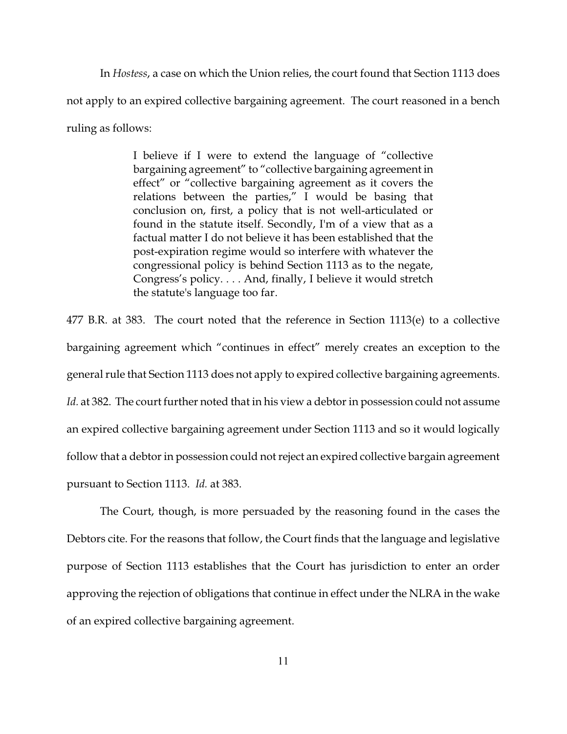In *Hostess*, a case on which the Union relies, the court found that Section 1113 does not apply to an expired collective bargaining agreement. The court reasoned in a bench ruling as follows:

> I believe if I were to extend the language of "collective bargaining agreement" to "collective bargaining agreement in effect" or "collective bargaining agreement as it covers the relations between the parties," I would be basing that conclusion on, first, a policy that is not well-articulated or found in the statute itself. Secondly, I'm of a view that as a factual matter I do not believe it has been established that the post-expiration regime would so interfere with whatever the congressional policy is behind Section 1113 as to the negate, Congress's policy. . . . And, finally, I believe it would stretch the statute's language too far.

477 B.R. at 383. The court noted that the reference in Section 1113(e) to a collective bargaining agreement which "continues in effect" merely creates an exception to the general rule that Section 1113 does not apply to expired collective bargaining agreements. Id. at 382. The court further noted that in his view a debtor in possession could not assume an expired collective bargaining agreement under Section 1113 and so it would logically follow that a debtor in possession could not reject an expired collective bargain agreement pursuant to Section 1113. *Id.* at 383.

The Court, though, is more persuaded by the reasoning found in the cases the Debtors cite. For the reasons that follow, the Court finds that the language and legislative purpose of Section 1113 establishes that the Court has jurisdiction to enter an order approving the rejection of obligations that continue in effect under the NLRA in the wake of an expired collective bargaining agreement.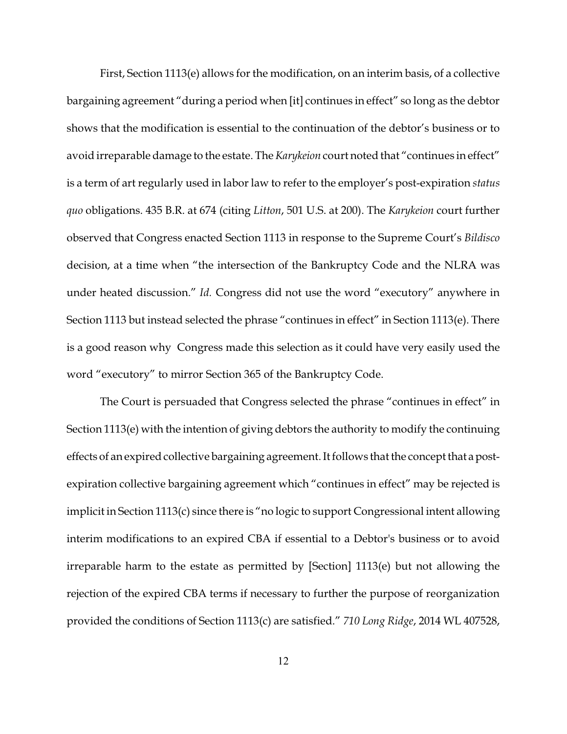First, Section 1113(e) allows for the modification, on an interim basis, of a collective bargaining agreement "during a period when [it] continues in effect" so long as the debtor shows that the modification is essential to the continuation of the debtor's business or to avoid irreparable damage to the estate. The *Karykeion* court noted that "continues in effect" is a term of art regularly used in labor law to refer to the employer's post-expiration *status quo* obligations. 435 B.R. at 674 (citing *Litton*, 501 U.S. at 200). The *Karykeion* court further observed that Congress enacted Section 1113 in response to the Supreme Court's *Bildisco* decision, at a time when "the intersection of the Bankruptcy Code and the NLRA was under heated discussion." *Id.* Congress did not use the word "executory" anywhere in Section 1113 but instead selected the phrase "continues in effect" in Section 1113(e). There is a good reason why Congress made this selection as it could have very easily used the word "executory" to mirror Section 365 of the Bankruptcy Code.

The Court is persuaded that Congress selected the phrase "continues in effect" in Section 1113(e) with the intention of giving debtors the authority to modify the continuing effects of an expired collective bargaining agreement. It follows that the concept that a postexpiration collective bargaining agreement which "continues in effect" may be rejected is implicit in Section 1113(c) since there is "no logic to support Congressional intent allowing interim modifications to an expired CBA if essential to a Debtor's business or to avoid irreparable harm to the estate as permitted by [Section] 1113(e) but not allowing the rejection of the expired CBA terms if necessary to further the purpose of reorganization provided the conditions of Section 1113(c) are satisfied." *710 Long Ridge*, 2014 WL 407528,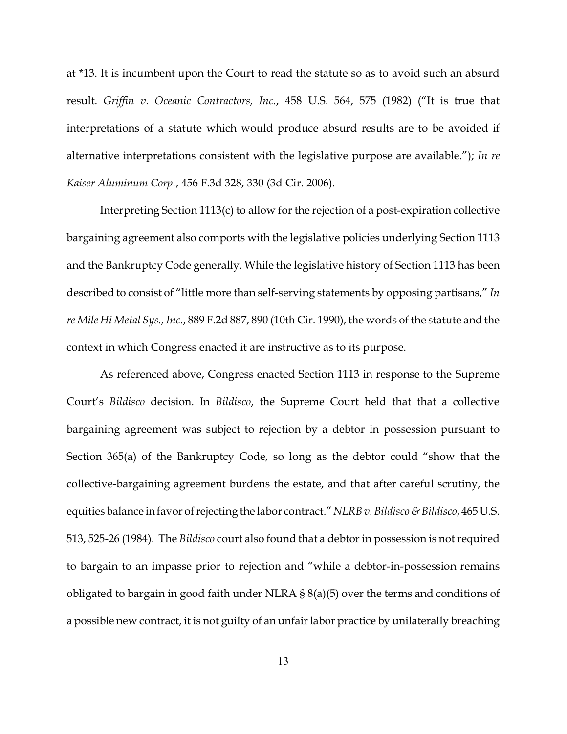at \*13. It is incumbent upon the Court to read the statute so as to avoid such an absurd result. *Griffin v. Oceanic Contractors, Inc.*, 458 U.S. 564, 575 (1982) ("It is true that interpretations of a statute which would produce absurd results are to be avoided if alternative interpretations consistent with the legislative purpose are available."); *In re Kaiser Aluminum Corp.*, 456 F.3d 328, 330 (3d Cir. 2006).

Interpreting Section 1113(c) to allow for the rejection of a post-expiration collective bargaining agreement also comports with the legislative policies underlying Section 1113 and the Bankruptcy Code generally. While the legislative history of Section 1113 has been described to consist of "little more than self-serving statements by opposing partisans," *In re Mile Hi Metal Sys., Inc.*, 889 F.2d 887, 890 (10th Cir. 1990), the words of the statute and the context in which Congress enacted it are instructive as to its purpose.

As referenced above, Congress enacted Section 1113 in response to the Supreme Court's *Bildisco* decision. In *Bildisco*, the Supreme Court held that that a collective bargaining agreement was subject to rejection by a debtor in possession pursuant to Section 365(a) of the Bankruptcy Code, so long as the debtor could "show that the collective-bargaining agreement burdens the estate, and that after careful scrutiny, the equities balance in favor of rejecting the labor contract."*NLRB v. Bildisco & Bildisco*, 465 U.S. 513, 525-26 (1984). The *Bildisco* court also found that a debtor in possession is not required to bargain to an impasse prior to rejection and "while a debtor-in-possession remains obligated to bargain in good faith under NLRA  $\S 8(a)(5)$  over the terms and conditions of a possible new contract, it is not guilty of an unfair labor practice by unilaterally breaching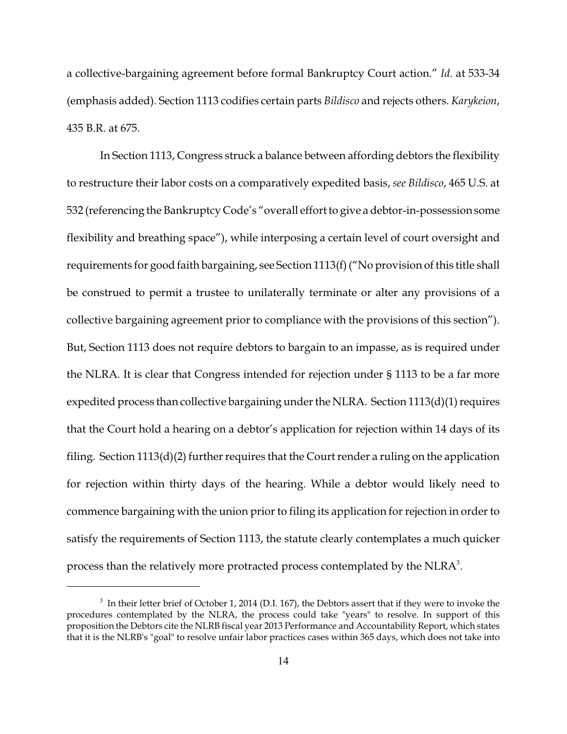a collective-bargaining agreement before formal Bankruptcy Court action." *Id.* at 533-34 (emphasis added). Section 1113 codifies certain parts *Bildisco* and rejects others. *Karykeion*, 435 B.R. at 675.

In Section 1113, Congress struck a balance between affording debtors the flexibility to restructure their labor costs on a comparatively expedited basis, *see Bildisco*, 465 U.S. at 532 (referencing the Bankruptcy Code's "overall effort to give a debtor-in-possession some flexibility and breathing space"), while interposing a certain level of court oversight and requirements for good faith bargaining, see Section 1113(f) ("No provision of this title shall be construed to permit a trustee to unilaterally terminate or alter any provisions of a collective bargaining agreement prior to compliance with the provisions of this section"). But, Section 1113 does not require debtors to bargain to an impasse, as is required under the NLRA. It is clear that Congress intended for rejection under § 1113 to be a far more expedited process than collective bargaining under the NLRA. Section  $1113(d)(1)$  requires that the Court hold a hearing on a debtor's application for rejection within 14 days of its filing. Section  $1113(d)(2)$  further requires that the Court render a ruling on the application for rejection within thirty days of the hearing. While a debtor would likely need to commence bargaining with the union prior to filing its application for rejection in order to satisfy the requirements of Section 1113, the statute clearly contemplates a much quicker process than the relatively more protracted process contemplated by the  $NLRA^3$ .

 $^3$  In their letter brief of October 1, 2014 (D.I. 167), the Debtors assert that if they were to invoke the procedures contemplated by the NLRA, the process could take "years" to resolve. In support of this proposition the Debtors cite the NLRB fiscal year 2013 Performance and Accountability Report, which states that it is the NLRB's "goal" to resolve unfair labor practices cases within 365 days, which does not take into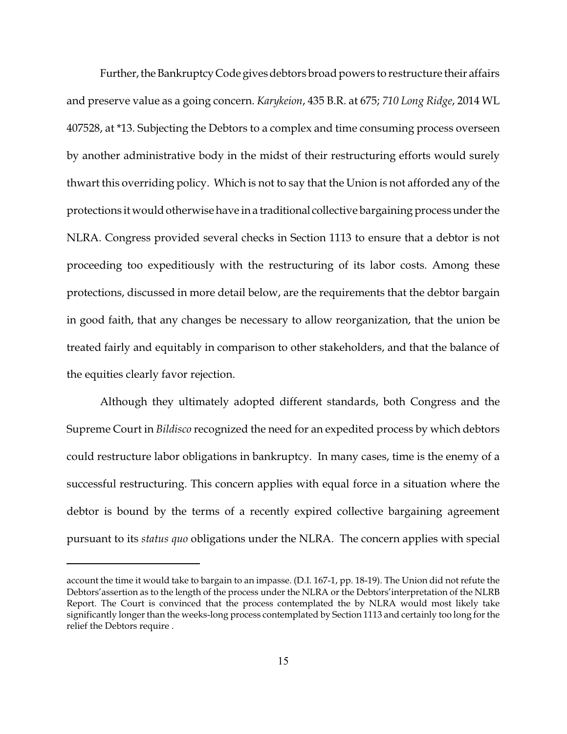Further, the Bankruptcy Code gives debtors broad powers to restructure their affairs and preserve value as a going concern. *Karykeion*, 435 B.R. at 675; *710 Long Ridge*, 2014 WL 407528, at \*13. Subjecting the Debtors to a complex and time consuming process overseen by another administrative body in the midst of their restructuring efforts would surely thwart this overriding policy. Which is not to say that the Union is not afforded any of the protections it would otherwise have in a traditional collective bargaining process underthe NLRA. Congress provided several checks in Section 1113 to ensure that a debtor is not proceeding too expeditiously with the restructuring of its labor costs. Among these protections, discussed in more detail below, are the requirements that the debtor bargain in good faith, that any changes be necessary to allow reorganization, that the union be treated fairly and equitably in comparison to other stakeholders, and that the balance of the equities clearly favor rejection.

Although they ultimately adopted different standards, both Congress and the Supreme Court in *Bildisco* recognized the need for an expedited process by which debtors could restructure labor obligations in bankruptcy. In many cases, time is the enemy of a successful restructuring. This concern applies with equal force in a situation where the debtor is bound by the terms of a recently expired collective bargaining agreement pursuant to its *status quo* obligations under the NLRA. The concern applies with special

account the time it would take to bargain to an impasse. (D.I. 167-1, pp. 18-19). The Union did not refute the Debtors'assertion as to the length of the process under the NLRA or the Debtors'interpretation of the NLRB Report. The Court is convinced that the process contemplated the by NLRA would most likely take significantly longer than the weeks-long process contemplated by Section 1113 and certainly too long for the relief the Debtors require .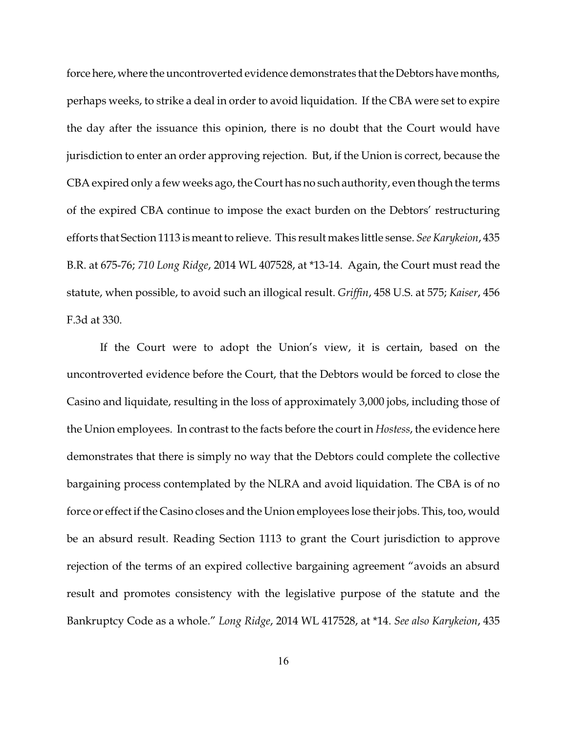force here, where the uncontroverted evidence demonstrates that the Debtors have months, perhaps weeks, to strike a deal in order to avoid liquidation. If the CBA were set to expire the day after the issuance this opinion, there is no doubt that the Court would have jurisdiction to enter an order approving rejection. But, if the Union is correct, because the CBA expired only a few weeks ago, the Court has no such authority, even though the terms of the expired CBA continue to impose the exact burden on the Debtors' restructuring efforts that Section 1113 is meant to relieve. This result makes little sense. *See Karykeion*, 435 B.R. at 675-76; *710 Long Ridge*, 2014 WL 407528, at \*13-14. Again, the Court must read the statute, when possible, to avoid such an illogical result. *Griffin*, 458 U.S. at 575; *Kaiser*, 456 F.3d at 330.

If the Court were to adopt the Union's view, it is certain, based on the uncontroverted evidence before the Court, that the Debtors would be forced to close the Casino and liquidate, resulting in the loss of approximately 3,000 jobs, including those of the Union employees. In contrast to the facts before the court in *Hostess*, the evidence here demonstrates that there is simply no way that the Debtors could complete the collective bargaining process contemplated by the NLRA and avoid liquidation. The CBA is of no force or effect if the Casino closes and the Union employees lose their jobs. This, too, would be an absurd result. Reading Section 1113 to grant the Court jurisdiction to approve rejection of the terms of an expired collective bargaining agreement "avoids an absurd result and promotes consistency with the legislative purpose of the statute and the Bankruptcy Code as a whole." *Long Ridge*, 2014 WL 417528, at \*14. *See also Karykeion*, 435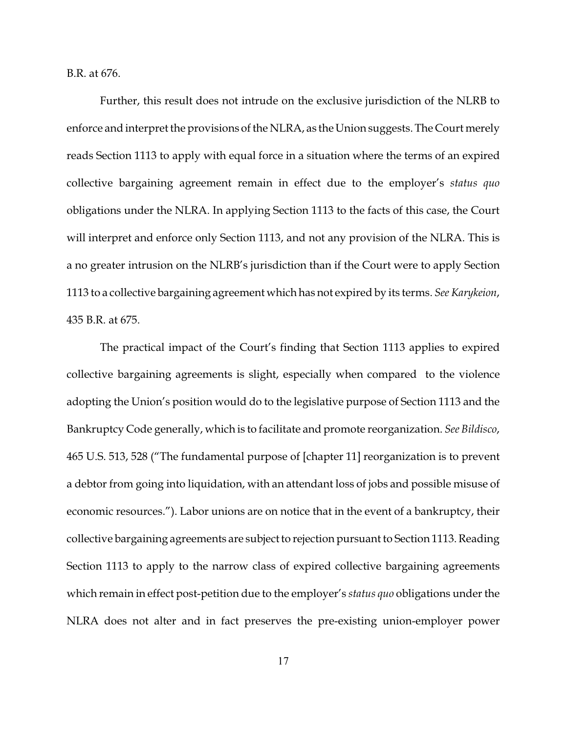B.R. at 676.

Further, this result does not intrude on the exclusive jurisdiction of the NLRB to enforce and interpret the provisions of the NLRA, as the Union suggests. The Court merely reads Section 1113 to apply with equal force in a situation where the terms of an expired collective bargaining agreement remain in effect due to the employer's *status quo* obligations under the NLRA. In applying Section 1113 to the facts of this case, the Court will interpret and enforce only Section 1113, and not any provision of the NLRA. This is a no greater intrusion on the NLRB's jurisdiction than if the Court were to apply Section 1113 to a collective bargaining agreement which has not expired by its terms. *See Karykeion*, 435 B.R. at 675.

The practical impact of the Court's finding that Section 1113 applies to expired collective bargaining agreements is slight, especially when compared to the violence adopting the Union's position would do to the legislative purpose of Section 1113 and the Bankruptcy Code generally, which is to facilitate and promote reorganization. *See Bildisco*, 465 U.S. 513, 528 ("The fundamental purpose of [chapter 11] reorganization is to prevent a debtor from going into liquidation, with an attendant loss of jobs and possible misuse of economic resources."). Labor unions are on notice that in the event of a bankruptcy, their collective bargaining agreements are subject to rejection pursuant to Section 1113. Reading Section 1113 to apply to the narrow class of expired collective bargaining agreements which remain in effect post-petition due to the employer's *status quo* obligations under the NLRA does not alter and in fact preserves the pre-existing union-employer power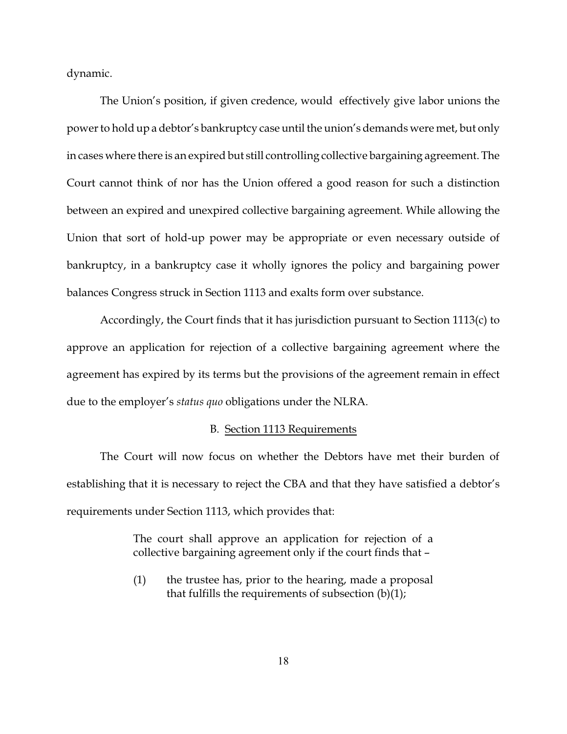dynamic.

The Union's position, if given credence, would effectively give labor unions the powerto hold up a debtor's bankruptcy case until the union's demands were met, but only in cases where there is an expired but still controlling collective bargaining agreement. The Court cannot think of nor has the Union offered a good reason for such a distinction between an expired and unexpired collective bargaining agreement. While allowing the Union that sort of hold-up power may be appropriate or even necessary outside of bankruptcy, in a bankruptcy case it wholly ignores the policy and bargaining power balances Congress struck in Section 1113 and exalts form over substance.

Accordingly, the Court finds that it has jurisdiction pursuant to Section 1113(c) to approve an application for rejection of a collective bargaining agreement where the agreement has expired by its terms but the provisions of the agreement remain in effect due to the employer's *status quo* obligations under the NLRA.

#### B. Section 1113 Requirements

The Court will now focus on whether the Debtors have met their burden of establishing that it is necessary to reject the CBA and that they have satisfied a debtor's requirements under Section 1113, which provides that:

> The court shall approve an application for rejection of a collective bargaining agreement only if the court finds that –

> (1) the trustee has, prior to the hearing, made a proposal that fulfills the requirements of subsection (b)(1);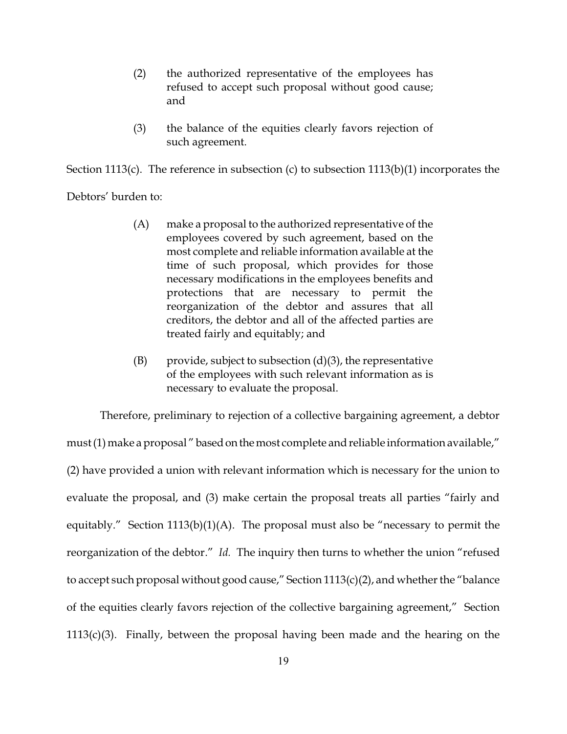- (2) the authorized representative of the employees has refused to accept such proposal without good cause; and
- (3) the balance of the equities clearly favors rejection of such agreement.

Section 1113(c). The reference in subsection (c) to subsection 1113(b)(1) incorporates the

Debtors' burden to:

- (A) make a proposal to the authorized representative of the employees covered by such agreement, based on the most complete and reliable information available at the time of such proposal, which provides for those necessary modifications in the employees benefits and protections that are necessary to permit the reorganization of the debtor and assures that all creditors, the debtor and all of the affected parties are treated fairly and equitably; and
- $(B)$  provide, subject to subsection  $(d)(3)$ , the representative of the employees with such relevant information as is necessary to evaluate the proposal.

Therefore, preliminary to rejection of a collective bargaining agreement, a debtor must (1) make a proposal " based on the most complete and reliable information available," (2) have provided a union with relevant information which is necessary for the union to evaluate the proposal, and (3) make certain the proposal treats all parties "fairly and equitably." Section 1113(b)(1)(A). The proposal must also be "necessary to permit the reorganization of the debtor." *Id.* The inquiry then turns to whether the union "refused to accept such proposal without good cause," Section  $1113(c)(2)$ , and whether the "balance of the equities clearly favors rejection of the collective bargaining agreement," Section 1113(c)(3). Finally, between the proposal having been made and the hearing on the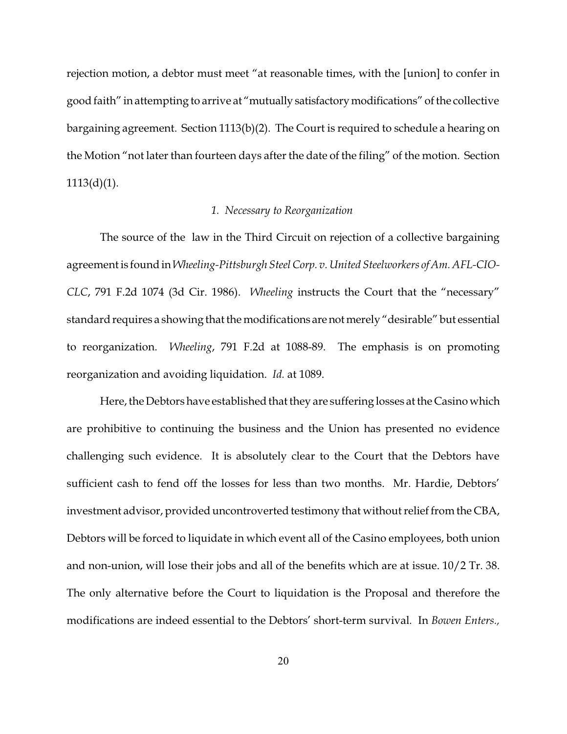rejection motion, a debtor must meet "at reasonable times, with the [union] to confer in good faith" in attempting to arrive at "mutually satisfactorymodifications" of the collective bargaining agreement. Section 1113(b)(2). The Court is required to schedule a hearing on the Motion "not later than fourteen days after the date of the filing" of the motion. Section  $1113(d)(1)$ .

## *1. Necessary to Reorganization*

The source of the law in the Third Circuit on rejection of a collective bargaining agreement is found in*Wheeling-Pittsburgh Steel Corp. v. United Steelworkers of Am. AFL-CIO-CLC*, 791 F.2d 1074 (3d Cir. 1986). *Wheeling* instructs the Court that the "necessary" standard requires a showing that the modifications arenotmerely "desirable" but essential to reorganization. *Wheeling*, 791 F.2d at 1088-89. The emphasis is on promoting reorganization and avoiding liquidation. *Id.* at 1089.

Here, the Debtors have established that they are suffering losses at the Casino which are prohibitive to continuing the business and the Union has presented no evidence challenging such evidence. It is absolutely clear to the Court that the Debtors have sufficient cash to fend off the losses for less than two months. Mr. Hardie, Debtors' investment advisor, provided uncontroverted testimony that without relief from the CBA, Debtors will be forced to liquidate in which event all of the Casino employees, both union and non-union, will lose their jobs and all of the benefits which are at issue. 10/2 Tr. 38. The only alternative before the Court to liquidation is the Proposal and therefore the modifications are indeed essential to the Debtors' short-term survival*.* In *Bowen Enters.,*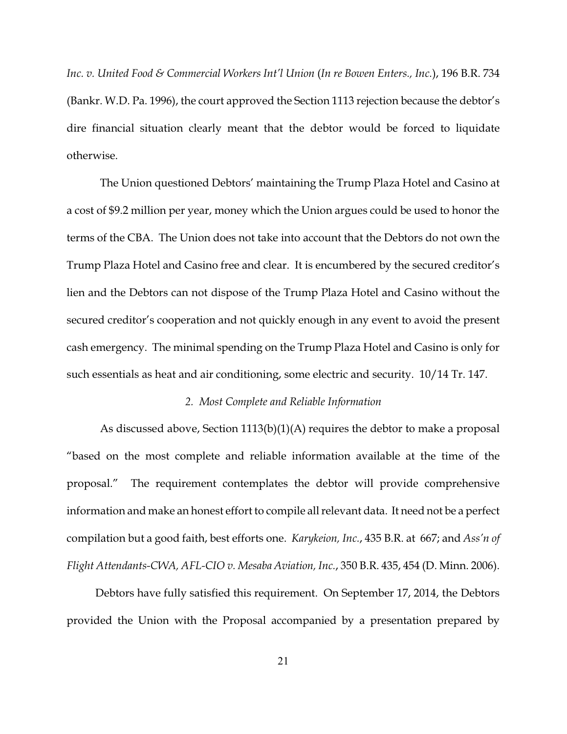*Inc. v. United Food & Commercial Workers Int'l Union* (*In re Bowen Enters., Inc.*), 196 B.R. 734 (Bankr. W.D. Pa. 1996), the court approved the Section 1113 rejection because the debtor's dire financial situation clearly meant that the debtor would be forced to liquidate otherwise.

The Union questioned Debtors' maintaining the Trump Plaza Hotel and Casino at a cost of \$9.2 million per year, money which the Union argues could be used to honor the terms of the CBA. The Union does not take into account that the Debtors do not own the Trump Plaza Hotel and Casino free and clear. It is encumbered by the secured creditor's lien and the Debtors can not dispose of the Trump Plaza Hotel and Casino without the secured creditor's cooperation and not quickly enough in any event to avoid the present cash emergency. The minimal spending on the Trump Plaza Hotel and Casino is only for such essentials as heat and air conditioning, some electric and security. 10/14 Tr. 147.

#### *2. Most Complete and Reliable Information*

As discussed above, Section 1113(b)(1)(A) requires the debtor to make a proposal "based on the most complete and reliable information available at the time of the proposal." The requirement contemplates the debtor will provide comprehensive information and make an honest effort to compile all relevant data. It need not be a perfect compilation but a good faith, best efforts one. *Karykeion, Inc.*, 435 B.R. at 667; and *Ass'n of Flight Attendants-CWA, AFL-CIO v. Mesaba Aviation, Inc.*, 350 B.R. 435, 454 (D. Minn. 2006).

Debtors have fully satisfied this requirement. On September 17, 2014, the Debtors provided the Union with the Proposal accompanied by a presentation prepared by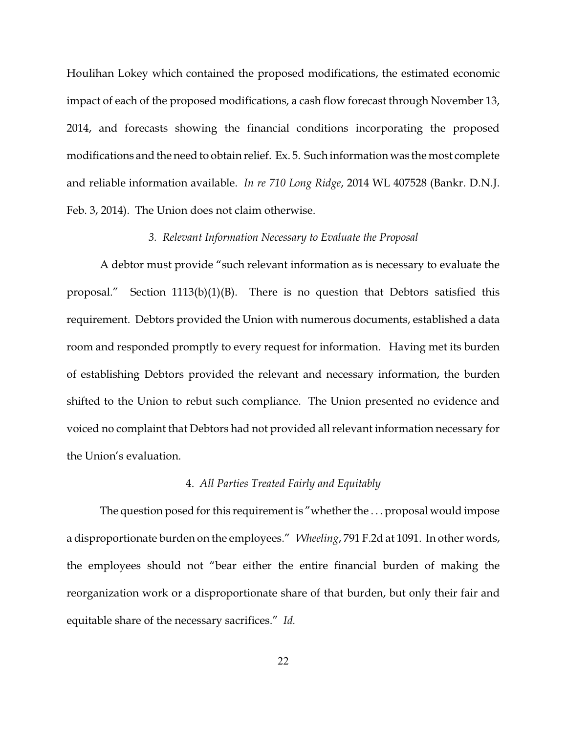Houlihan Lokey which contained the proposed modifications, the estimated economic impact of each of the proposed modifications, a cash flow forecast through November 13, 2014, and forecasts showing the financial conditions incorporating the proposed modifications and the need to obtain relief. Ex. 5. Such information was the most complete and reliable information available. *In re 710 Long Ridge*, 2014 WL 407528 (Bankr. D.N.J. Feb. 3, 2014). The Union does not claim otherwise.

#### *3. Relevant Information Necessary to Evaluate the Proposal*

A debtor must provide "such relevant information as is necessary to evaluate the proposal." Section 1113(b)(1)(B). There is no question that Debtors satisfied this requirement. Debtors provided the Union with numerous documents, established a data room and responded promptly to every request for information. Having met its burden of establishing Debtors provided the relevant and necessary information, the burden shifted to the Union to rebut such compliance. The Union presented no evidence and voiced no complaint that Debtors had not provided all relevant information necessary for the Union's evaluation.

# 4. *All Parties Treated Fairly and Equitably*

The question posed for this requirement is "whether the ... proposal would impose a disproportionate burden on the employees." *Wheeling*, 791 F.2d at 1091. In other words, the employees should not "bear either the entire financial burden of making the reorganization work or a disproportionate share of that burden, but only their fair and equitable share of the necessary sacrifices." *Id.*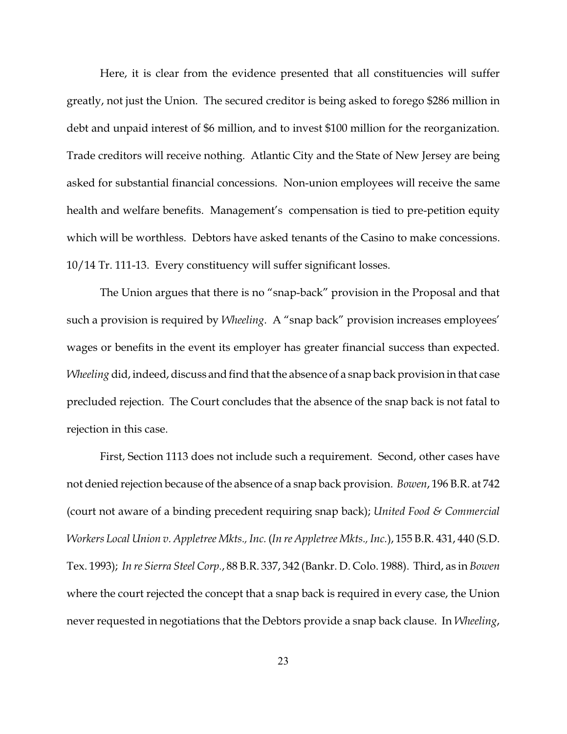Here, it is clear from the evidence presented that all constituencies will suffer greatly, not just the Union. The secured creditor is being asked to forego \$286 million in debt and unpaid interest of \$6 million, and to invest \$100 million for the reorganization. Trade creditors will receive nothing. Atlantic City and the State of New Jersey are being asked for substantial financial concessions. Non-union employees will receive the same health and welfare benefits. Management's compensation is tied to pre-petition equity which will be worthless. Debtors have asked tenants of the Casino to make concessions. 10/14 Tr. 111-13. Every constituency will suffer significant losses.

The Union argues that there is no "snap-back" provision in the Proposal and that such a provision is required by *Wheeling*. A "snap back" provision increases employees' wages or benefits in the event its employer has greater financial success than expected. *Wheeling* did, indeed, discuss and find that the absence of a snap back provision in that case precluded rejection. The Court concludes that the absence of the snap back is not fatal to rejection in this case.

First, Section 1113 does not include such a requirement. Second, other cases have not denied rejection because of the absence of a snap back provision. *Bowen*, 196 B.R. at 742 (court not aware of a binding precedent requiring snap back); *United Food & Commercial Workers Local Union v. Appletree Mkts., Inc.* (*In re Appletree Mkts., Inc.*), 155 B.R. 431, 440 (S.D. Tex. 1993); *In re Sierra Steel Corp.*, 88 B.R. 337, 342 (Bankr. D. Colo. 1988). Third, as in *Bowen* where the court rejected the concept that a snap back is required in every case, the Union never requested in negotiations that the Debtors provide a snap back clause. In *Wheeling*,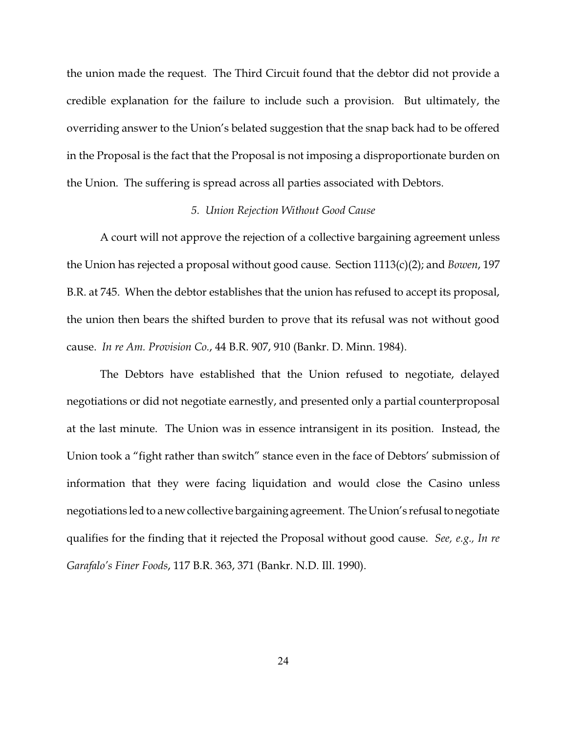the union made the request. The Third Circuit found that the debtor did not provide a credible explanation for the failure to include such a provision. But ultimately, the overriding answer to the Union's belated suggestion that the snap back had to be offered in the Proposal is the fact that the Proposal is not imposing a disproportionate burden on the Union. The suffering is spread across all parties associated with Debtors.

#### *5. Union Rejection Without Good Cause*

A court will not approve the rejection of a collective bargaining agreement unless the Union has rejected a proposal without good cause. Section 1113(c)(2); and *Bowen*, 197 B.R. at 745. When the debtor establishes that the union has refused to accept its proposal, the union then bears the shifted burden to prove that its refusal was not without good cause. *In re Am. Provision Co.*, 44 B.R. 907, 910 (Bankr. D. Minn. 1984).

The Debtors have established that the Union refused to negotiate, delayed negotiations or did not negotiate earnestly, and presented only a partial counterproposal at the last minute. The Union was in essence intransigent in its position. Instead, the Union took a "fight rather than switch" stance even in the face of Debtors' submission of information that they were facing liquidation and would close the Casino unless negotiations led to a new collective bargaining agreement. The Union's refusal to negotiate qualifies for the finding that it rejected the Proposal without good cause. *See, e.g., In re Garafalo's Finer Foods*, 117 B.R. 363, 371 (Bankr. N.D. Ill. 1990).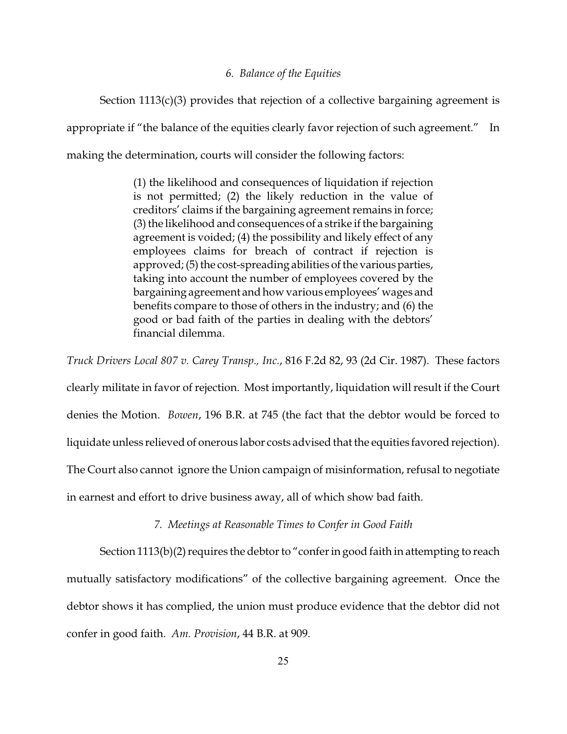#### *6. Balance of the Equities*

Section 1113(c)(3) provides that rejection of a collective bargaining agreement is appropriate if "the balance of the equities clearly favor rejection of such agreement." In making the determination, courts will consider the following factors:

> (1) the likelihood and consequences of liquidation if rejection is not permitted; (2) the likely reduction in the value of creditors' claims if the bargaining agreement remains in force; (3) the likelihood and consequences of a strike if the bargaining agreement is voided; (4) the possibility and likely effect of any employees claims for breach of contract if rejection is approved; (5) the cost-spreading abilities of the various parties, taking into account the number of employees covered by the bargaining agreement and how various employees' wages and benefits compare to those of others in the industry; and (6) the good or bad faith of the parties in dealing with the debtors' financial dilemma.

*Truck Drivers Local 807 v. Carey Transp., Inc.*, 816 F.2d 82, 93 (2d Cir. 1987). These factors clearly militate in favor of rejection. Most importantly, liquidation will result if the Court denies the Motion. *Bowen*, 196 B.R. at 745 (the fact that the debtor would be forced to liquidate unless relieved of onerous labor costs advised that the equities favored rejection). The Court also cannot ignore the Union campaign of misinformation, refusal to negotiate in earnest and effort to drive business away, all of which show bad faith.

# *7. Meetings at Reasonable Times to Confer in Good Faith*

Section 1113(b)(2) requires the debtor to "confer in good faith in attempting to reach mutually satisfactory modifications" of the collective bargaining agreement. Once the debtor shows it has complied, the union must produce evidence that the debtor did not confer in good faith. *Am. Provision*, 44 B.R. at 909.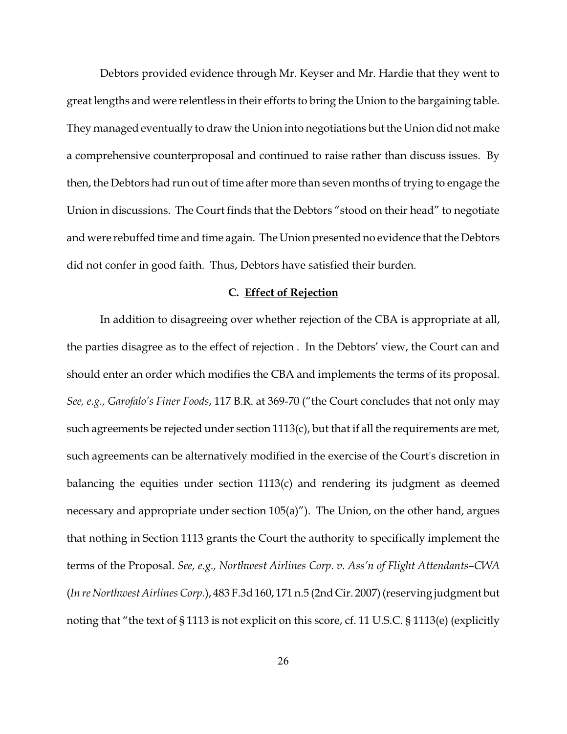Debtors provided evidence through Mr. Keyser and Mr. Hardie that they went to great lengths and were relentless in their efforts to bring the Union to the bargaining table. They managed eventually to draw the Union into negotiations but the Union did not make a comprehensive counterproposal and continued to raise rather than discuss issues. By then, the Debtors had run out of time after more than seven months of trying to engage the Union in discussions. The Court finds that the Debtors "stood on their head" to negotiate and were rebuffed time and time again. The Union presented no evidence that the Debtors did not confer in good faith. Thus, Debtors have satisfied their burden.

# **C. Effect of Rejection**

In addition to disagreeing over whether rejection of the CBA is appropriate at all, the parties disagree as to the effect of rejection . In the Debtors' view, the Court can and should enter an order which modifies the CBA and implements the terms of its proposal. *See, e.g., Garofalo's Finer Foods*, 117 B.R. at 369-70 ("the Court concludes that not only may such agreements be rejected under section 1113(c), but that if all the requirements are met, such agreements can be alternatively modified in the exercise of the Court's discretion in balancing the equities under section 1113(c) and rendering its judgment as deemed necessary and appropriate under section 105(a)"). The Union, on the other hand, argues that nothing in Section 1113 grants the Court the authority to specifically implement the terms of the Proposal. *See, e.g., Northwest Airlines Corp. v. Ass'n of Flight Attendants–CWA* (*In re Northwest Airlines Corp.*), 483 F.3d 160, 171 n.5 (2nd Cir. 2007) (reserving judgment but noting that "the text of § 1113 is not explicit on this score, cf. 11 U.S.C. § 1113(e) (explicitly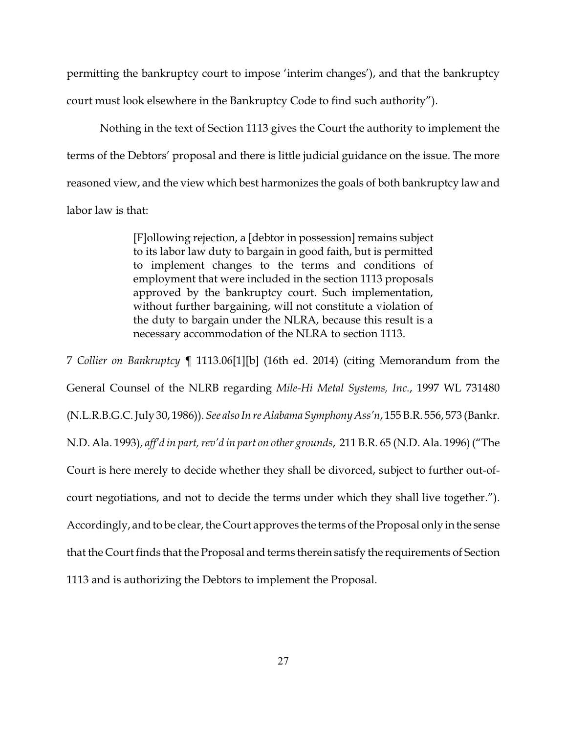permitting the bankruptcy court to impose 'interim changes'), and that the bankruptcy court must look elsewhere in the Bankruptcy Code to find such authority").

Nothing in the text of Section 1113 gives the Court the authority to implement the terms of the Debtors' proposal and there is little judicial guidance on the issue. The more reasoned view, and the view which best harmonizes the goals of both bankruptcy law and labor law is that:

> [F]ollowing rejection, a [debtor in possession] remains subject to its labor law duty to bargain in good faith, but is permitted to implement changes to the terms and conditions of employment that were included in the section 1113 proposals approved by the bankruptcy court. Such implementation, without further bargaining, will not constitute a violation of the duty to bargain under the NLRA, because this result is a necessary accommodation of the NLRA to section 1113.

7 *Collier on Bankruptcy* ¶ 1113.06[1][b] (16th ed. 2014) (citing Memorandum from the General Counsel of the NLRB regarding *Mile-Hi Metal Systems, Inc.*, 1997 WL 731480 (N.L.R.B.G.C. July 30, 1986)). *See also In re Alabama Symphony Ass'n*, 155 B.R. 556, 573 (Bankr. N.D. Ala. 1993), *aff'd in part, rev'd in part on other grounds*, 211 B.R. 65 (N.D. Ala. 1996) ("The Court is here merely to decide whether they shall be divorced, subject to further out-ofcourt negotiations, and not to decide the terms under which they shall live together."). Accordingly, and to be clear, the Court approves the terms of the Proposal only in the sense that the Court finds that the Proposal and terms therein satisfy the requirements of Section 1113 and is authorizing the Debtors to implement the Proposal.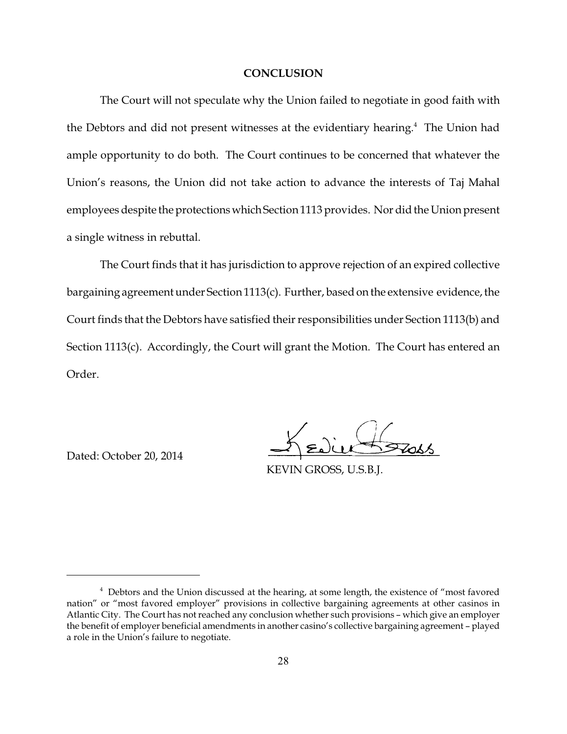#### **CONCLUSION**

The Court will not speculate why the Union failed to negotiate in good faith with the Debtors and did not present witnesses at the evidentiary hearing.<sup>4</sup> The Union had ample opportunity to do both. The Court continues to be concerned that whatever the Union's reasons, the Union did not take action to advance the interests of Taj Mahal employees despite the protectionswhichSection 1113 provides. Nor did the Union present a single witness in rebuttal.

The Court finds that it has jurisdiction to approve rejection of an expired collective bargaining agreement under Section 1113(c). Further, based on the extensive evidence, the Court finds that the Debtors have satisfied their responsibilities under Section 1113(b) and Section 1113(c). Accordingly, the Court will grant the Motion. The Court has entered an Order.

Dated: October 20, 2014

KEVIN GROSS, U.S.B.J.

<sup>&</sup>lt;sup>4</sup> Debtors and the Union discussed at the hearing, at some length, the existence of "most favored nation" or "most favored employer" provisions in collective bargaining agreements at other casinos in Atlantic City. The Court has not reached any conclusion whether such provisions – which give an employer the benefit of employer beneficial amendments in another casino's collective bargaining agreement – played a role in the Union's failure to negotiate.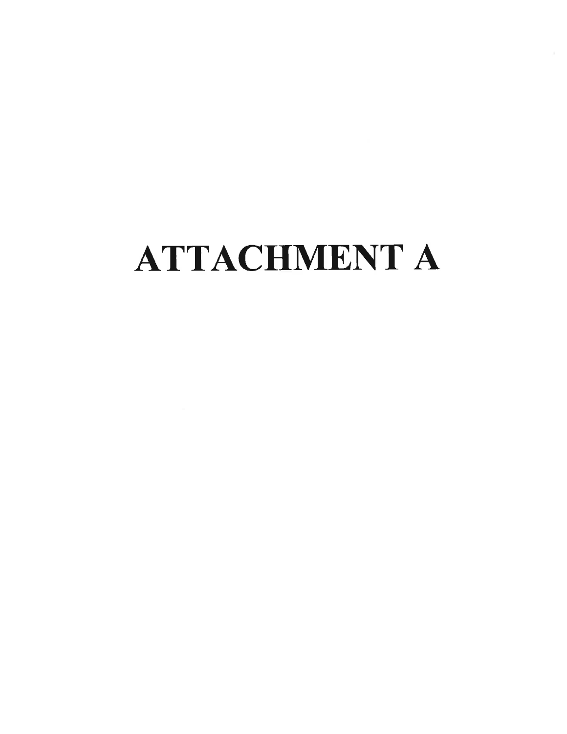# **ATTACHMENT A**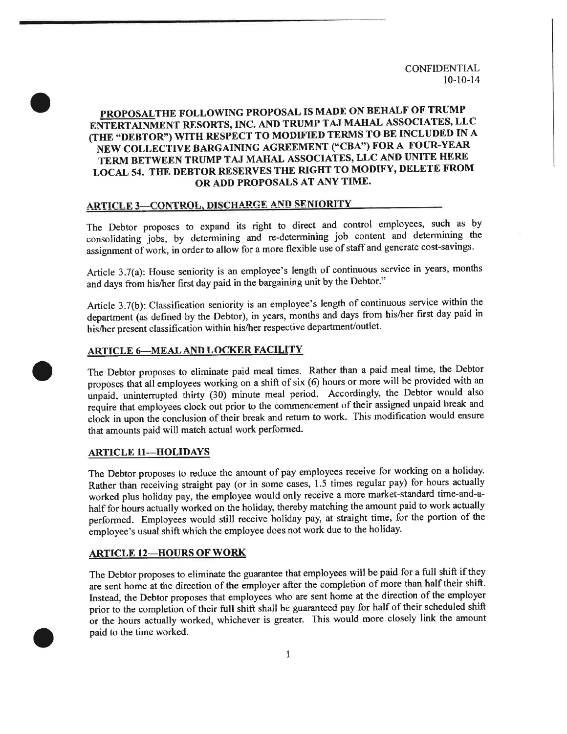# PROPOSALTHE FOLLOWING PROPOSAL IS MADE ON BEHALF OF TRUMP ENTERTAINMENT RESORTS, INC. AND TRUMP TAJ MAHAL ASSOCIATES, LLC (THE "DEBTOR") WITH RESPECT TO MODIFIED TERMS TO BE INCLUDED IN A NEW COLLECTIVE BARGAINING AGREEMENT ("CBA") FOR A FOUR-YEAR TERM BETWEEN TRUMP TAJ MAHAL ASSOCIATES, LLC AND UNITE HERE LOCAL 54. THE DEBTOR RESERVES THE RIGHT TO MODIFY, DELETE FROM OR ADD PROPOSALS AT ANY TIME.

# **ARTICLE 3-CONTROL, DISCHARGE AND SENIORITY**

The Debtor proposes to expand its right to direct and control employees, such as by consolidating jobs, by determining and re-determining job content and determining the assignment of work, in order to allow for a more flexible use of staff and generate cost-savings.

Article 3.7(a): House seniority is an employee's length of continuous service in years, months and days from his/her first day paid in the bargaining unit by the Debtor."

Article 3.7(b): Classification seniority is an employee's length of continuous service within the department (as defined by the Debtor), in years, months and days from his/her first day paid in his/her present classification within his/her respective department/outlet.

# **ARTICLE 6-MEAL AND LOCKER FACILITY**

The Debtor proposes to eliminate paid meal times. Rather than a paid meal time, the Debtor proposes that all employees working on a shift of six (6) hours or more will be provided with an unpaid, uninterrupted thirty (30) minute meal period. Accordingly, the Debtor would also require that employees clock out prior to the commencement of their assigned unpaid break and clock in upon the conclusion of their break and return to work. This modification would ensure that amounts paid will match actual work performed.

#### **ARTICLE 11-HOLIDAYS**

The Debtor proposes to reduce the amount of pay employees receive for working on a holiday. Rather than receiving straight pay (or in some cases, 1.5 times regular pay) for hours actually worked plus holiday pay, the employee would only receive a more market-standard time-and-ahalf for hours actually worked on the holiday, thereby matching the amount paid to work actually performed. Employees would still receive holiday pay, at straight time, for the portion of the employee's usual shift which the employee does not work due to the holiday.

#### **ARTICLE 12-HOURS OF WORK**

The Debtor proposes to eliminate the guarantee that employees will be paid for a full shift if they are sent home at the direction of the employer after the completion of more than half their shift. Instead, the Debtor proposes that employees who are sent home at the direction of the employer prior to the completion of their full shift shall be guaranteed pay for half of their scheduled shift or the hours actually worked, whichever is greater. This would more closely link the amount paid to the time worked.

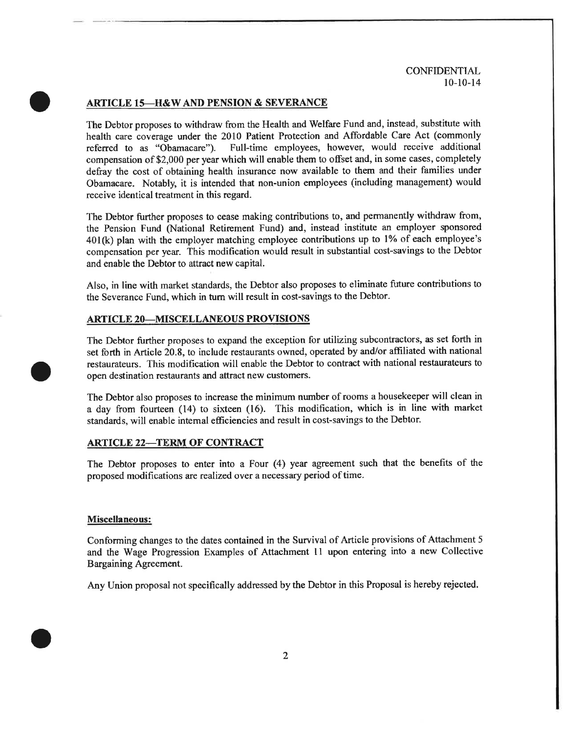#### **ARTICLE 15-H&W AND PENSION & SEVERANCE**

The Debtor proposes to withdraw from the Health and Welfare Fund and, instead, substitute with health care coverage under the 2010 Patient Protection and Affordable Care Act (commonly Full-time employees, however, would receive additional referred to as "Obamacare"). compensation of \$2,000 per year which will enable them to offset and, in some cases, completely defray the cost of obtaining health insurance now available to them and their families under Obamacare. Notably, it is intended that non-union employees (including management) would receive identical treatment in this regard.

The Debtor further proposes to cease making contributions to, and permanently withdraw from, the Pension Fund (National Retirement Fund) and, instead institute an employer sponsored 401(k) plan with the employer matching employee contributions up to 1% of each employee's compensation per year. This modification would result in substantial cost-savings to the Debtor and enable the Debtor to attract new capital.

Also, in line with market standards, the Debtor also proposes to eliminate future contributions to the Severance Fund, which in turn will result in cost-savings to the Debtor.

#### **ARTICLE 20-MISCELLANEOUS PROVISIONS**

The Debtor further proposes to expand the exception for utilizing subcontractors, as set forth in set forth in Article 20.8, to include restaurants owned, operated by and/or affiliated with national restaurateurs. This modification will enable the Debtor to contract with national restaurateurs to open destination restaurants and attract new customers.

The Debtor also proposes to increase the minimum number of rooms a housekeeper will clean in a day from fourteen (14) to sixteen (16). This modification, which is in line with market standards, will enable internal efficiencies and result in cost-savings to the Debtor.

#### **ARTICLE 22-TERM OF CONTRACT**

The Debtor proposes to enter into a Four (4) year agreement such that the benefits of the proposed modifications are realized over a necessary period of time.

#### Miscellaneous:

Conforming changes to the dates contained in the Survival of Article provisions of Attachment 5 and the Wage Progression Examples of Attachment 11 upon entering into a new Collective Bargaining Agreement.

Any Union proposal not specifically addressed by the Debtor in this Proposal is hereby rejected.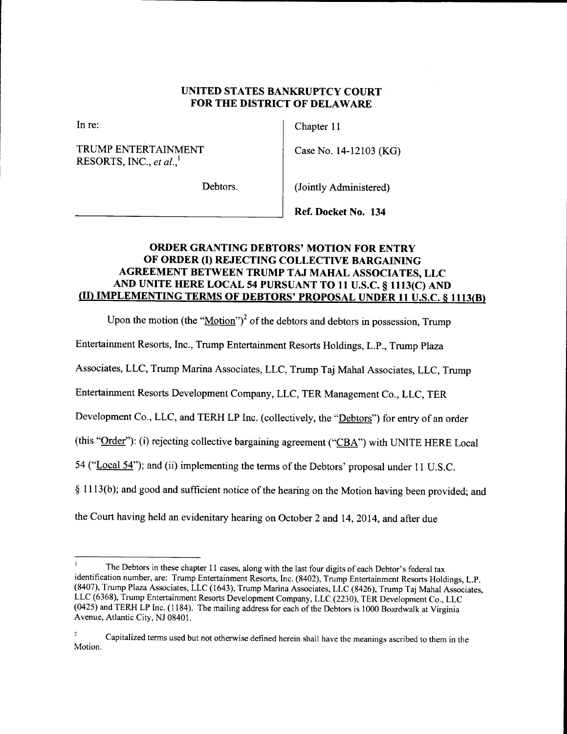# UNITED STATES BANKRUPTCY COURT **FOR THE DISTRICT OF DELAWARE**

In re:

TRUMP ENTERTAINMENT RESORTS, INC., et al.,<sup>1</sup>

Chapter 11

Case No. 14-12103 (KG)

Debtors.

(Jointly Administered)

Ref. Docket No. 134

# **ORDER GRANTING DEBTORS' MOTION FOR ENTRY** OF ORDER (I) REJECTING COLLECTIVE BARGAINING AGREEMENT BETWEEN TRUMP TAJ MAHAL ASSOCIATES, LLC AND UNITE HERE LOCAL 54 PURSUANT TO 11 U.S.C. § 1113(C) AND (II) IMPLEMENTING TERMS OF DEBTORS' PROPOSAL UNDER 11 U.S.C. § 1113(B)

Upon the motion (the " $\underline{\text{Motion}}$ ")<sup>2</sup> of the debtors and debtors in possession, Trump

Entertainment Resorts, Inc., Trump Entertainment Resorts Holdings, L.P., Trump Plaza

Associates, LLC, Trump Marina Associates, LLC, Trump Taj Mahal Associates, LLC, Trump

Entertainment Resorts Development Company, LLC, TER Management Co., LLC, TER

Development Co., LLC, and TERH LP Inc. (collectively, the "Debtors") for entry of an order

(this "Order"): (i) rejecting collective bargaining agreement ("CBA") with UNITE HERE Local

54 ("Local 54"); and (ii) implementing the terms of the Debtors' proposal under 11 U.S.C.

§ 1113(b); and good and sufficient notice of the hearing on the Motion having been provided; and

the Court having held an evidentiary hearing on October 2 and 14, 2014, and after due

The Debtors in these chapter 11 cases, along with the last four digits of each Debtor's federal tax identification number, are: Trump Entertainment Resorts, Inc. (8402), Trump Entertainment Resorts Holdings, L.P. (8407), Trump Plaza Associates, LLC (1643), Trump Marina Associates, LLC (8426), Trump Taj Mahal Associates, LLC (6368), Trump Entertainment Resorts Development Company, LLC (2230), TER Development Co., LLC (0425) and TERH LP Inc. (1184). The mailing address for each of the Debtors is 1000 Boardwalk at Virginia Avenue, Atlantic City, NJ 08401.

 $\overline{\mathbf{2}}$ Capitalized terms used but not otherwise defined herein shall have the meanings ascribed to them in the Motion.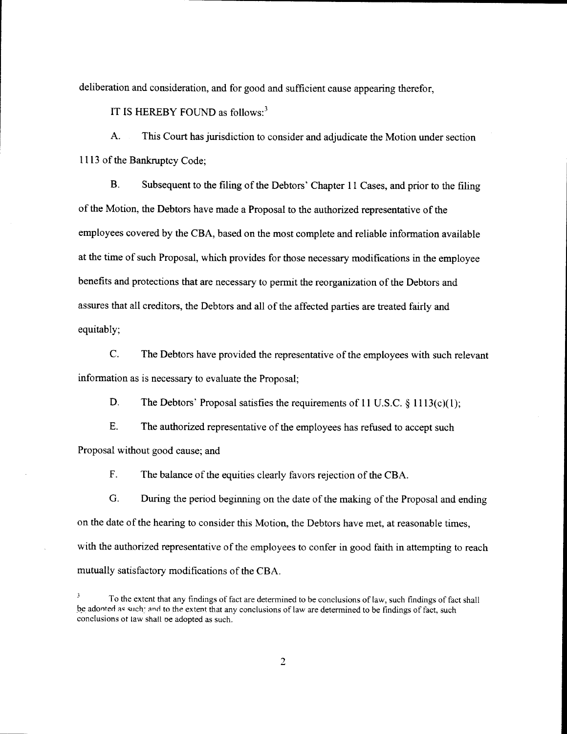deliberation and consideration, and for good and sufficient cause appearing therefor,

IT IS HEREBY FOUND as follows: $3$ 

A. This Court has jurisdiction to consider and adjudicate the Motion under section 1113 of the Bankruptcy Code;

**B.** Subsequent to the filing of the Debtors' Chapter 11 Cases, and prior to the filing of the Motion, the Debtors have made a Proposal to the authorized representative of the employees covered by the CBA, based on the most complete and reliable information available at the time of such Proposal, which provides for those necessary modifications in the employee benefits and protections that are necessary to permit the reorganization of the Debtors and assures that all creditors, the Debtors and all of the affected parties are treated fairly and equitably;

 $\mathbf{C}$ . The Debtors have provided the representative of the employees with such relevant information as is necessary to evaluate the Proposal;

D. The Debtors' Proposal satisfies the requirements of 11 U.S.C.  $\S 1113(c)(1)$ ;

E. The authorized representative of the employees has refused to accept such Proposal without good cause; and

 $F.$ The balance of the equities clearly favors rejection of the CBA.

G. During the period beginning on the date of the making of the Proposal and ending on the date of the hearing to consider this Motion, the Debtors have met, at reasonable times, with the authorized representative of the employees to confer in good faith in attempting to reach mutually satisfactory modifications of the CBA.

 $\overline{\mathbf{3}}$ To the extent that any findings of fact are determined to be conclusions of law, such findings of fact shall be adonted as such; and to the extent that any conclusions of law are determined to be findings of fact, such conclusions of law shall be adopted as such.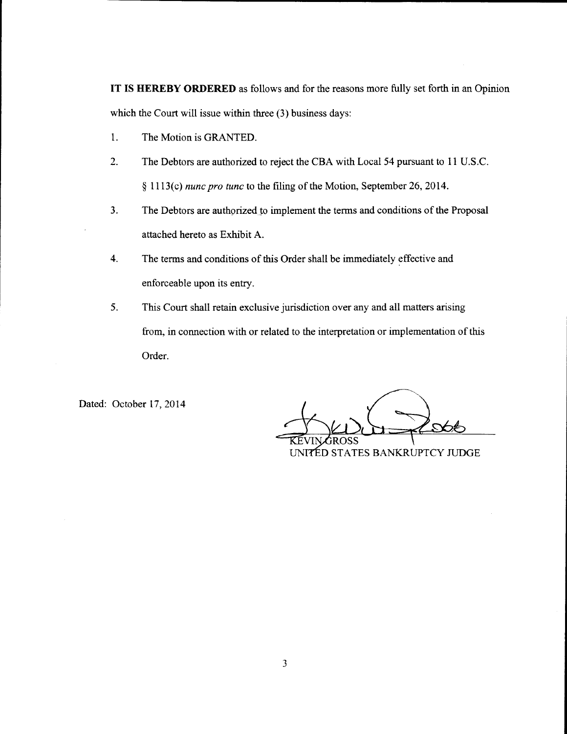IT IS HEREBY ORDERED as follows and for the reasons more fully set forth in an Opinion which the Court will issue within three (3) business days:

- $1.$ The Motion is GRANTED.
- $2.$ The Debtors are authorized to reject the CBA with Local 54 pursuant to 11 U.S.C. § 1113(c) nunc pro tunc to the filing of the Motion, September 26, 2014.
- $3.$ The Debtors are authorized to implement the terms and conditions of the Proposal attached hereto as Exhibit A.
- $4.$ The terms and conditions of this Order shall be immediately effective and enforceable upon its entry.
- 5. This Court shall retain exclusive jurisdiction over any and all matters arising from, in connection with or related to the interpretation or implementation of this Order.

Dated: October 17, 2014

UNITED STATES BANKRUPTCY JUDGE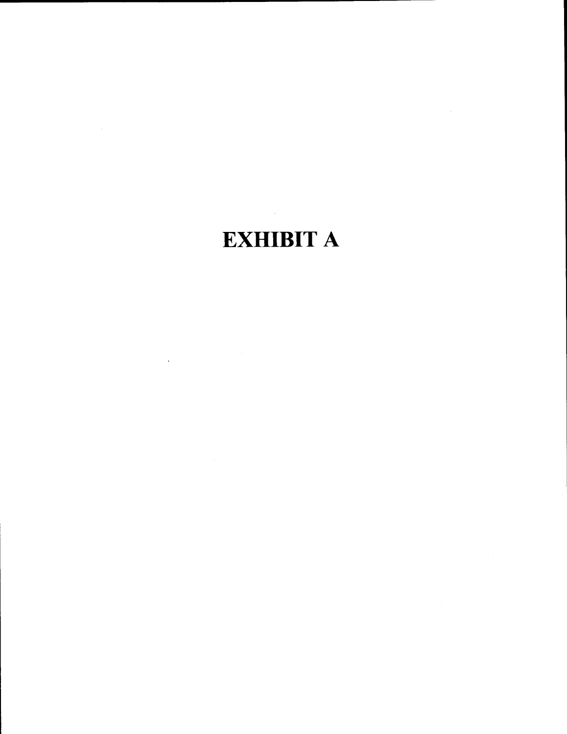# **EXHIBIT A**

 $\mathcal{L}_{\mathcal{A}}$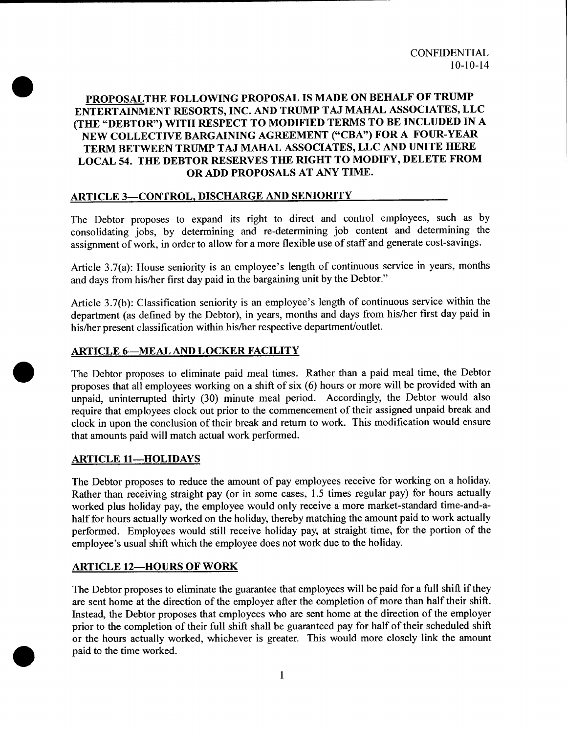# PROPOSALTHE FOLLOWING PROPOSAL IS MADE ON BEHALF OF TRUMP ENTERTAINMENT RESORTS, INC. AND TRUMP TAJ MAHAL ASSOCIATES, LLC (THE "DEBTOR") WITH RESPECT TO MODIFIED TERMS TO BE INCLUDED IN A NEW COLLECTIVE BARGAINING AGREEMENT ("CBA") FOR A FOUR-YEAR TERM BETWEEN TRUMP TAJ MAHAL ASSOCIATES, LLC AND UNITE HERE LOCAL 54. THE DEBTOR RESERVES THE RIGHT TO MODIFY, DELETE FROM OR ADD PROPOSALS AT ANY TIME.

# **ARTICLE 3-CONTROL, DISCHARGE AND SENIORITY**

The Debtor proposes to expand its right to direct and control employees, such as by consolidating jobs, by determining and re-determining job content and determining the assignment of work, in order to allow for a more flexible use of staff and generate cost-savings.

Article 3.7(a): House seniority is an employee's length of continuous service in years, months and days from his/her first day paid in the bargaining unit by the Debtor."

Article 3.7(b): Classification seniority is an employee's length of continuous service within the department (as defined by the Debtor), in years, months and days from his/her first day paid in his/her present classification within his/her respective department/outlet.

# **ARTICLE 6-MEAL AND LOCKER FACILITY**

The Debtor proposes to eliminate paid meal times. Rather than a paid meal time, the Debtor proposes that all employees working on a shift of six (6) hours or more will be provided with an unpaid, uninterrupted thirty (30) minute meal period. Accordingly, the Debtor would also require that employees clock out prior to the commencement of their assigned unpaid break and clock in upon the conclusion of their break and return to work. This modification would ensure that amounts paid will match actual work performed.

# **ARTICLE 11-HOLIDAYS**

The Debtor proposes to reduce the amount of pay employees receive for working on a holiday. Rather than receiving straight pay (or in some cases, 1.5 times regular pay) for hours actually worked plus holiday pay, the employee would only receive a more market-standard time-and-ahalf for hours actually worked on the holiday, thereby matching the amount paid to work actually performed. Employees would still receive holiday pay, at straight time, for the portion of the employee's usual shift which the employee does not work due to the holiday.

# **ARTICLE 12-HOURS OF WORK**

The Debtor proposes to eliminate the guarantee that employees will be paid for a full shift if they are sent home at the direction of the employer after the completion of more than half their shift. Instead, the Debtor proposes that employees who are sent home at the direction of the employer prior to the completion of their full shift shall be guaranteed pay for half of their scheduled shift or the hours actually worked, whichever is greater. This would more closely link the amount paid to the time worked.